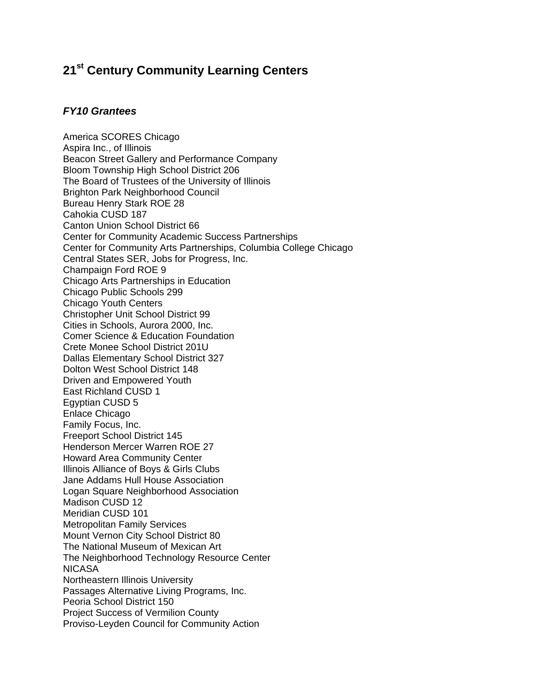## **21st Century Community Learning Centers**

## *FY10 Grantees*

America SCORES Chicago Aspira Inc., of Illinois Beacon Street Gallery and Performance Company Bloom Township High School District 206 The Board of Trustees of the University of Illinois Brighton Park Neighborhood Council Bureau Henry Stark ROE 28 Cahokia CUSD 187 Canton Union School District 66 Center for Community Academic Success Partnerships Center for Community Arts Partnerships, Columbia College Chicago Central States SER, Jobs for Progress, Inc. Champaign Ford ROE 9 Chicago Arts Partnerships in Education Chicago Public Schools 299 Chicago Youth Centers Christopher Unit School District 99 Cities in Schools, Aurora 2000, Inc. Comer Science & Education Foundation Crete Monee School District 201U Dallas Elementary School District 327 Dolton West School District 148 Driven and Empowered Youth East Richland CUSD 1 Egyptian CUSD 5 Enlace Chicago Family Focus, Inc. Freeport School District 145 Henderson Mercer Warren ROE 27 Howard Area Community Center Illinois Alliance of Boys & Girls Clubs Jane Addams Hull House Association Logan Square Neighborhood Association Madison CUSD 12 Meridian CUSD 101 Metropolitan Family Services Mount Vernon City School District 80 The National Museum of Mexican Art The Neighborhood Technology Resource Center NICASA Northeastern Illinois University Passages Alternative Living Programs, Inc. Peoria School District 150 Project Success of Vermilion County Proviso-Leyden Council for Community Action